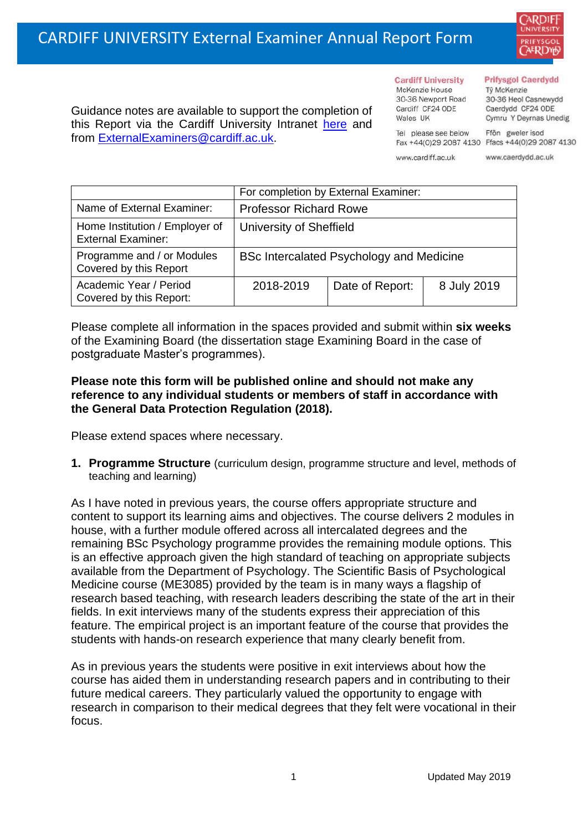

Guidance notes are available to support the completion of this Report via the Cardiff University Intranet [here](https://intranet.cardiff.ac.uk/staff/teaching-and-supporting-students/exams-and-assessment/exam-boards-and-external-examiners/for-current-external-examiners/external-examiners-reports) and from [ExternalExaminers@cardiff.ac.uk.](mailto:ExternalExaminers@cardiff.ac.uk)

#### **Prifysgol Caerdydd**

Từ McKenzie 30-36 Heol Casnewydd Caerdydd CF24 ODE Cymru Y Deyrnas Unedig

Tel please see below Ffôn gweler isod Fax +44(0)29 2087 4130 Ffacs +44(0)29 2087 4130

www.cardiff.ac.uk

**Cardiff University** 

30-36 Newport Road

McKenzie House

Cardiff CF24 ODE

Wales UK

www.caerdydd.ac.uk

|                                                             | For completion by External Examiner:     |                 |             |  |
|-------------------------------------------------------------|------------------------------------------|-----------------|-------------|--|
| Name of External Examiner:                                  | <b>Professor Richard Rowe</b>            |                 |             |  |
| Home Institution / Employer of<br><b>External Examiner:</b> | University of Sheffield                  |                 |             |  |
| Programme and / or Modules<br>Covered by this Report        | BSc Intercalated Psychology and Medicine |                 |             |  |
| Academic Year / Period<br>Covered by this Report:           | 2018-2019                                | Date of Report: | 8 July 2019 |  |

Please complete all information in the spaces provided and submit within **six weeks** of the Examining Board (the dissertation stage Examining Board in the case of postgraduate Master's programmes).

#### **Please note this form will be published online and should not make any reference to any individual students or members of staff in accordance with the General Data Protection Regulation (2018).**

Please extend spaces where necessary.

**1. Programme Structure** (curriculum design, programme structure and level, methods of teaching and learning)

As I have noted in previous years, the course offers appropriate structure and content to support its learning aims and objectives. The course delivers 2 modules in house, with a further module offered across all intercalated degrees and the remaining BSc Psychology programme provides the remaining module options. This is an effective approach given the high standard of teaching on appropriate subjects available from the Department of Psychology. The Scientific Basis of Psychological Medicine course (ME3085) provided by the team is in many ways a flagship of research based teaching, with research leaders describing the state of the art in their fields. In exit interviews many of the students express their appreciation of this feature. The empirical project is an important feature of the course that provides the students with hands-on research experience that many clearly benefit from.

As in previous years the students were positive in exit interviews about how the course has aided them in understanding research papers and in contributing to their future medical careers. They particularly valued the opportunity to engage with research in comparison to their medical degrees that they felt were vocational in their focus.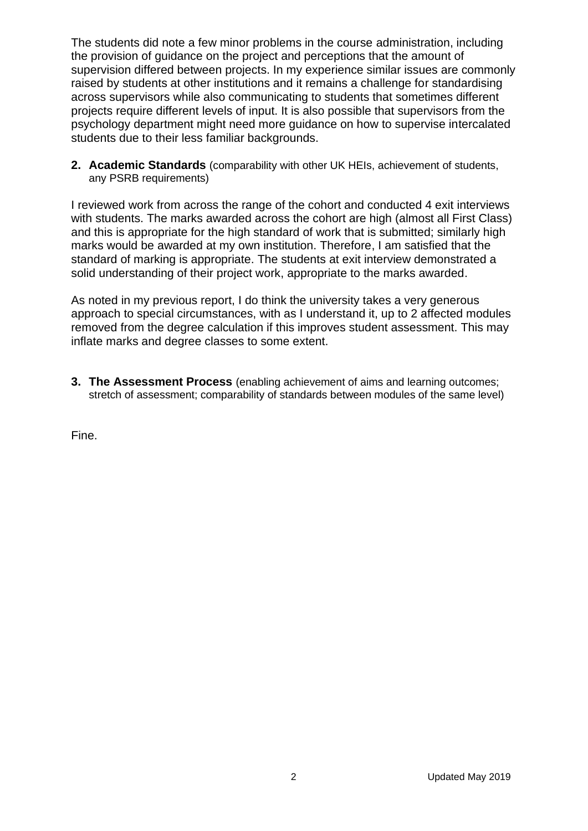The students did note a few minor problems in the course administration, including the provision of guidance on the project and perceptions that the amount of supervision differed between projects. In my experience similar issues are commonly raised by students at other institutions and it remains a challenge for standardising across supervisors while also communicating to students that sometimes different projects require different levels of input. It is also possible that supervisors from the psychology department might need more guidance on how to supervise intercalated students due to their less familiar backgrounds.

**2. Academic Standards** (comparability with other UK HEIs, achievement of students, any PSRB requirements)

I reviewed work from across the range of the cohort and conducted 4 exit interviews with students. The marks awarded across the cohort are high (almost all First Class) and this is appropriate for the high standard of work that is submitted; similarly high marks would be awarded at my own institution. Therefore, I am satisfied that the standard of marking is appropriate. The students at exit interview demonstrated a solid understanding of their project work, appropriate to the marks awarded.

As noted in my previous report, I do think the university takes a very generous approach to special circumstances, with as I understand it, up to 2 affected modules removed from the degree calculation if this improves student assessment. This may inflate marks and degree classes to some extent.

**3. The Assessment Process** (enabling achievement of aims and learning outcomes; stretch of assessment; comparability of standards between modules of the same level)

Fine.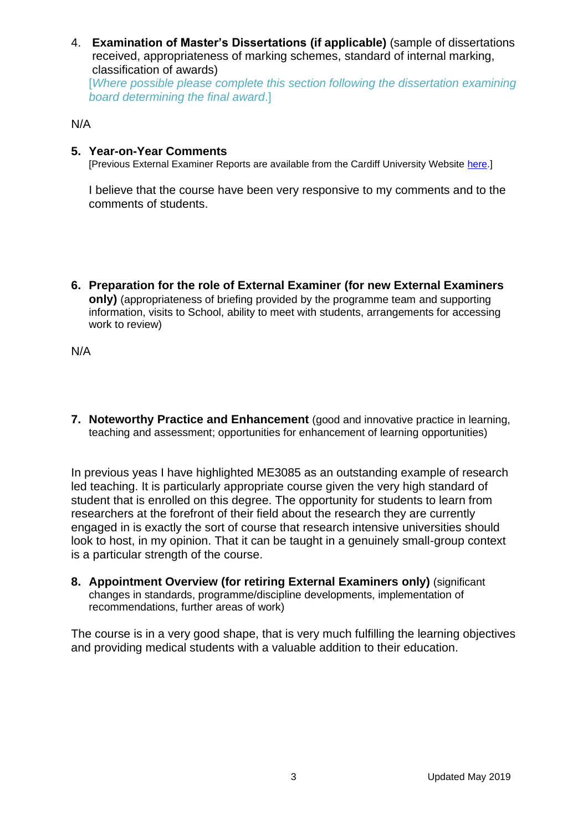4. **Examination of Master's Dissertations (if applicable)** (sample of dissertations received, appropriateness of marking schemes, standard of internal marking, classification of awards) [*Where possible please complete this section following the dissertation examining* 

*board determining the final award*.]

### N/A

## **5. Year-on-Year Comments**

[Previous External Examiner Reports are available from the Cardiff University Website [here.](https://www.cardiff.ac.uk/public-information/quality-and-standards/external-examiner-reports)]

I believe that the course have been very responsive to my comments and to the comments of students.

**6. Preparation for the role of External Examiner (for new External Examiners only)** (appropriateness of briefing provided by the programme team and supporting information, visits to School, ability to meet with students, arrangements for accessing work to review)

N/A

**7. Noteworthy Practice and Enhancement** (good and innovative practice in learning, teaching and assessment; opportunities for enhancement of learning opportunities)

In previous yeas I have highlighted ME3085 as an outstanding example of research led teaching. It is particularly appropriate course given the very high standard of student that is enrolled on this degree. The opportunity for students to learn from researchers at the forefront of their field about the research they are currently engaged in is exactly the sort of course that research intensive universities should look to host, in my opinion. That it can be taught in a genuinely small-group context is a particular strength of the course.

**8. Appointment Overview (for retiring External Examiners only)** (significant changes in standards, programme/discipline developments, implementation of recommendations, further areas of work)

The course is in a very good shape, that is very much fulfilling the learning objectives and providing medical students with a valuable addition to their education.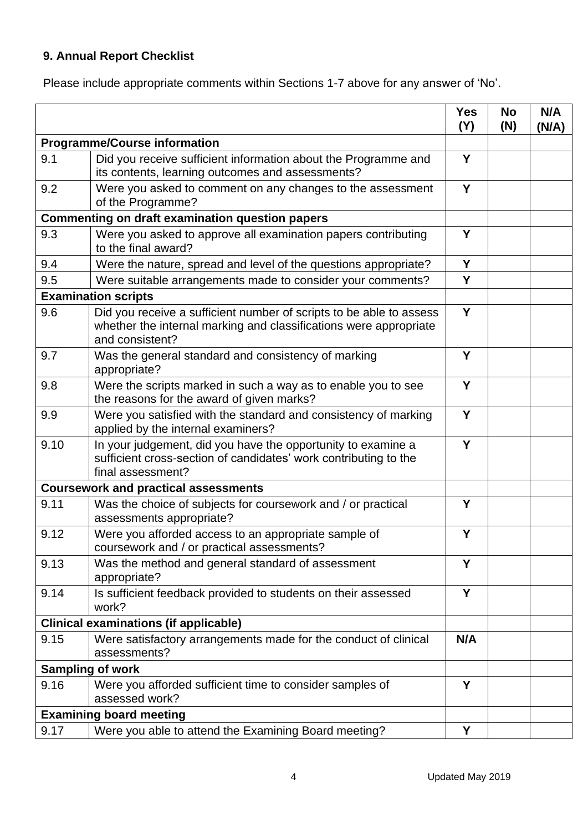# **9. Annual Report Checklist**

Please include appropriate comments within Sections 1-7 above for any answer of 'No'.

|                                                        |                                                                                                                                                             | <b>Yes</b><br>(Y) | <b>No</b><br>(N) | N/A<br>(N/A) |
|--------------------------------------------------------|-------------------------------------------------------------------------------------------------------------------------------------------------------------|-------------------|------------------|--------------|
| <b>Programme/Course information</b>                    |                                                                                                                                                             |                   |                  |              |
| 9.1                                                    | Did you receive sufficient information about the Programme and<br>its contents, learning outcomes and assessments?                                          | Y                 |                  |              |
| 9.2                                                    | Were you asked to comment on any changes to the assessment<br>of the Programme?                                                                             | Y                 |                  |              |
| <b>Commenting on draft examination question papers</b> |                                                                                                                                                             |                   |                  |              |
| 9.3                                                    | Were you asked to approve all examination papers contributing<br>to the final award?                                                                        | Υ                 |                  |              |
| 9.4                                                    | Were the nature, spread and level of the questions appropriate?                                                                                             | Y                 |                  |              |
| 9.5                                                    | Were suitable arrangements made to consider your comments?                                                                                                  | Y                 |                  |              |
| <b>Examination scripts</b>                             |                                                                                                                                                             |                   |                  |              |
| 9.6                                                    | Did you receive a sufficient number of scripts to be able to assess<br>whether the internal marking and classifications were appropriate<br>and consistent? | Y                 |                  |              |
| 9.7                                                    | Was the general standard and consistency of marking<br>appropriate?                                                                                         | Y                 |                  |              |
| 9.8                                                    | Were the scripts marked in such a way as to enable you to see<br>the reasons for the award of given marks?                                                  | Y                 |                  |              |
| 9.9                                                    | Were you satisfied with the standard and consistency of marking<br>applied by the internal examiners?                                                       | Y                 |                  |              |
| 9.10                                                   | In your judgement, did you have the opportunity to examine a<br>sufficient cross-section of candidates' work contributing to the<br>final assessment?       | Y                 |                  |              |
|                                                        | <b>Coursework and practical assessments</b>                                                                                                                 |                   |                  |              |
| 9.11                                                   | Was the choice of subjects for coursework and / or practical<br>assessments appropriate?                                                                    | Y                 |                  |              |
| 9.12                                                   | Were you afforded access to an appropriate sample of<br>coursework and / or practical assessments?                                                          | Y                 |                  |              |
| 9.13                                                   | Was the method and general standard of assessment<br>appropriate?                                                                                           | Y                 |                  |              |
| 9.14                                                   | Is sufficient feedback provided to students on their assessed<br>work?                                                                                      | Y                 |                  |              |
| <b>Clinical examinations (if applicable)</b>           |                                                                                                                                                             |                   |                  |              |
| 9.15                                                   | Were satisfactory arrangements made for the conduct of clinical<br>assessments?                                                                             | N/A               |                  |              |
| <b>Sampling of work</b>                                |                                                                                                                                                             |                   |                  |              |
| 9.16                                                   | Were you afforded sufficient time to consider samples of<br>assessed work?                                                                                  | Y                 |                  |              |
|                                                        | <b>Examining board meeting</b>                                                                                                                              |                   |                  |              |
| 9.17                                                   | Were you able to attend the Examining Board meeting?                                                                                                        | Υ                 |                  |              |